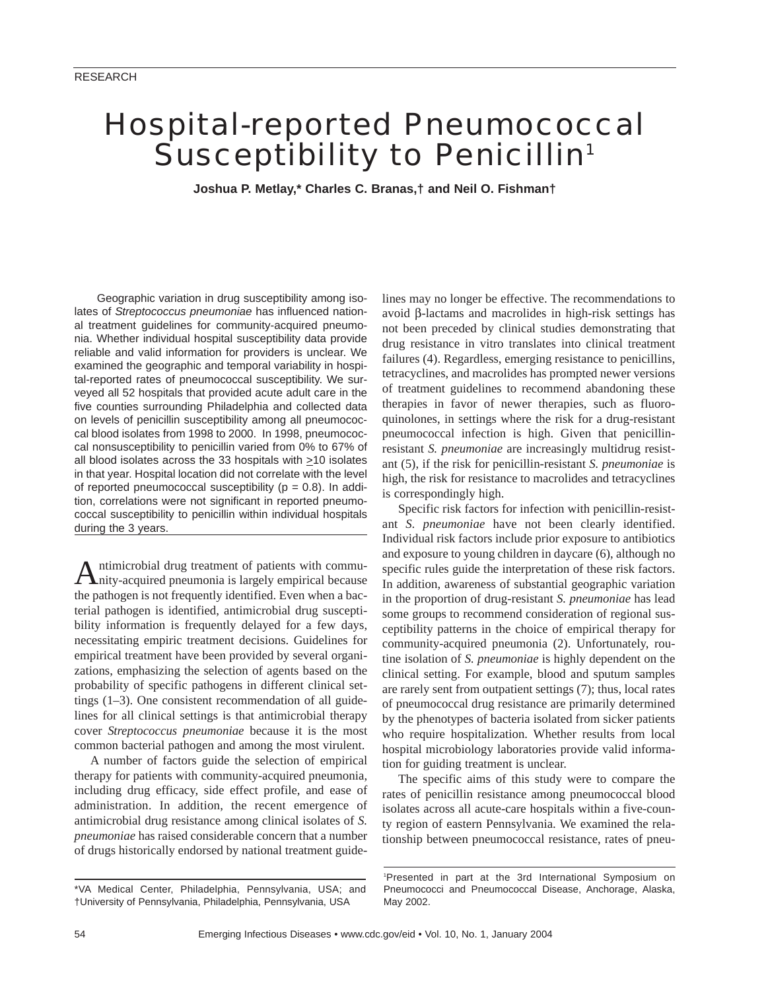# Hospital-reported Pneumococcal Susceptibility to Penicillin<sup>1</sup>

**Joshua P. Metlay,\* Charles C. Branas,† and Neil O. Fishman†**

Geographic variation in drug susceptibility among isolates of *Streptococcus pneumoniae* has influenced national treatment guidelines for community-acquired pneumonia. Whether individual hospital susceptibility data provide reliable and valid information for providers is unclear. We examined the geographic and temporal variability in hospital-reported rates of pneumococcal susceptibility. We surveyed all 52 hospitals that provided acute adult care in the five counties surrounding Philadelphia and collected data on levels of penicillin susceptibility among all pneumococcal blood isolates from 1998 to 2000. In 1998, pneumococcal nonsusceptibility to penicillin varied from 0% to 67% of all blood isolates across the 33 hospitals with  $\geq$ 10 isolates in that year. Hospital location did not correlate with the level of reported pneumococcal susceptibility ( $p = 0.8$ ). In addition, correlations were not significant in reported pneumococcal susceptibility to penicillin within individual hospitals during the 3 years.

Antimicrobial drug treatment of patients with commu-nity-acquired pneumonia is largely empirical because the pathogen is not frequently identified. Even when a bacterial pathogen is identified, antimicrobial drug susceptibility information is frequently delayed for a few days, necessitating empiric treatment decisions. Guidelines for empirical treatment have been provided by several organizations, emphasizing the selection of agents based on the probability of specific pathogens in different clinical settings (1–3). One consistent recommendation of all guidelines for all clinical settings is that antimicrobial therapy cover *Streptococcus pneumoniae* because it is the most common bacterial pathogen and among the most virulent.

A number of factors guide the selection of empirical therapy for patients with community-acquired pneumonia, including drug efficacy, side effect profile, and ease of administration. In addition, the recent emergence of antimicrobial drug resistance among clinical isolates of *S. pneumoniae* has raised considerable concern that a number of drugs historically endorsed by national treatment guide-

lines may no longer be effective. The recommendations to avoid β-lactams and macrolides in high-risk settings has not been preceded by clinical studies demonstrating that drug resistance in vitro translates into clinical treatment failures (4). Regardless, emerging resistance to penicillins, tetracyclines, and macrolides has prompted newer versions of treatment guidelines to recommend abandoning these therapies in favor of newer therapies, such as fluoroquinolones, in settings where the risk for a drug-resistant pneumococcal infection is high. Given that penicillinresistant *S. pneumoniae* are increasingly multidrug resistant (5), if the risk for penicillin-resistant *S. pneumoniae* is high, the risk for resistance to macrolides and tetracyclines is correspondingly high.

Specific risk factors for infection with penicillin-resistant *S. pneumoniae* have not been clearly identified. Individual risk factors include prior exposure to antibiotics and exposure to young children in daycare (6), although no specific rules guide the interpretation of these risk factors. In addition, awareness of substantial geographic variation in the proportion of drug-resistant *S. pneumoniae* has lead some groups to recommend consideration of regional susceptibility patterns in the choice of empirical therapy for community-acquired pneumonia (2). Unfortunately, routine isolation of *S. pneumoniae* is highly dependent on the clinical setting. For example, blood and sputum samples are rarely sent from outpatient settings (7); thus, local rates of pneumococcal drug resistance are primarily determined by the phenotypes of bacteria isolated from sicker patients who require hospitalization. Whether results from local hospital microbiology laboratories provide valid information for guiding treatment is unclear.

The specific aims of this study were to compare the rates of penicillin resistance among pneumococcal blood isolates across all acute-care hospitals within a five-county region of eastern Pennsylvania. We examined the relationship between pneumococcal resistance, rates of pneu-

<sup>\*</sup>VA Medical Center, Philadelphia, Pennsylvania, USA; and †University of Pennsylvania, Philadelphia, Pennsylvania, USA

<sup>1</sup> Presented in part at the 3rd International Symposium on Pneumococci and Pneumococcal Disease, Anchorage, Alaska, May 2002.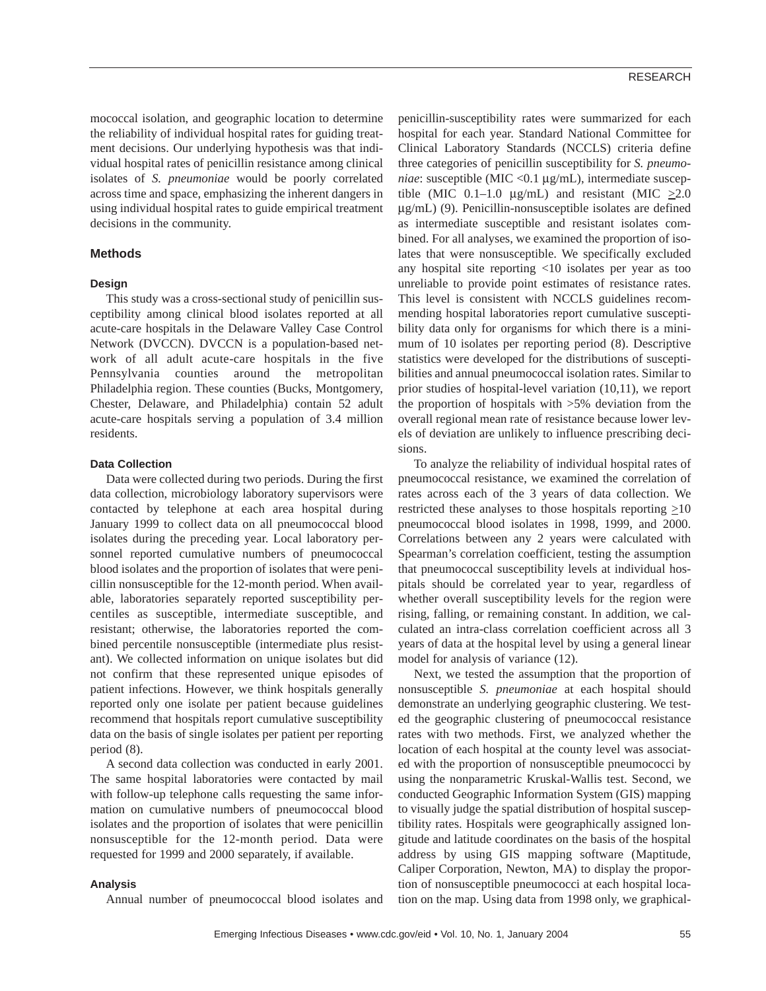mococcal isolation, and geographic location to determine the reliability of individual hospital rates for guiding treatment decisions. Our underlying hypothesis was that individual hospital rates of penicillin resistance among clinical isolates of *S. pneumoniae* would be poorly correlated across time and space, emphasizing the inherent dangers in using individual hospital rates to guide empirical treatment decisions in the community.

### **Methods**

#### **Design**

This study was a cross-sectional study of penicillin susceptibility among clinical blood isolates reported at all acute-care hospitals in the Delaware Valley Case Control Network (DVCCN). DVCCN is a population-based network of all adult acute-care hospitals in the five Pennsylvania counties around the metropolitan Philadelphia region. These counties (Bucks, Montgomery, Chester, Delaware, and Philadelphia) contain 52 adult acute-care hospitals serving a population of 3.4 million residents.

#### **Data Collection**

Data were collected during two periods. During the first data collection, microbiology laboratory supervisors were contacted by telephone at each area hospital during January 1999 to collect data on all pneumococcal blood isolates during the preceding year. Local laboratory personnel reported cumulative numbers of pneumococcal blood isolates and the proportion of isolates that were penicillin nonsusceptible for the 12-month period. When available, laboratories separately reported susceptibility percentiles as susceptible, intermediate susceptible, and resistant; otherwise, the laboratories reported the combined percentile nonsusceptible (intermediate plus resistant). We collected information on unique isolates but did not confirm that these represented unique episodes of patient infections. However, we think hospitals generally reported only one isolate per patient because guidelines recommend that hospitals report cumulative susceptibility data on the basis of single isolates per patient per reporting period (8).

A second data collection was conducted in early 2001. The same hospital laboratories were contacted by mail with follow-up telephone calls requesting the same information on cumulative numbers of pneumococcal blood isolates and the proportion of isolates that were penicillin nonsusceptible for the 12-month period. Data were requested for 1999 and 2000 separately, if available.

#### **Analysis**

Annual number of pneumococcal blood isolates and

Emerging Infectious Diseases • www.cdc.gov/eid • Vol. 10, No. 1, January 2004 55

penicillin-susceptibility rates were summarized for each hospital for each year. Standard National Committee for Clinical Laboratory Standards (NCCLS) criteria define three categories of penicillin susceptibility for *S. pneumoniae*: susceptible (MIC <0.1 µg/mL), intermediate susceptible (MIC 0.1–1.0  $\mu$ g/mL) and resistant (MIC  $\geq$ 2.0 µg/mL) (9). Penicillin-nonsusceptible isolates are defined as intermediate susceptible and resistant isolates combined. For all analyses, we examined the proportion of isolates that were nonsusceptible. We specifically excluded any hospital site reporting <10 isolates per year as too unreliable to provide point estimates of resistance rates. This level is consistent with NCCLS guidelines recommending hospital laboratories report cumulative susceptibility data only for organisms for which there is a minimum of 10 isolates per reporting period (8). Descriptive statistics were developed for the distributions of susceptibilities and annual pneumococcal isolation rates. Similar to prior studies of hospital-level variation (10,11), we report the proportion of hospitals with >5% deviation from the overall regional mean rate of resistance because lower levels of deviation are unlikely to influence prescribing decisions.

To analyze the reliability of individual hospital rates of pneumococcal resistance, we examined the correlation of rates across each of the 3 years of data collection. We restricted these analyses to those hospitals reporting  $\geq 10$ pneumococcal blood isolates in 1998, 1999, and 2000. Correlations between any 2 years were calculated with Spearman's correlation coefficient, testing the assumption that pneumococcal susceptibility levels at individual hospitals should be correlated year to year, regardless of whether overall susceptibility levels for the region were rising, falling, or remaining constant. In addition, we calculated an intra-class correlation coefficient across all 3 years of data at the hospital level by using a general linear model for analysis of variance (12).

Next, we tested the assumption that the proportion of nonsusceptible *S. pneumoniae* at each hospital should demonstrate an underlying geographic clustering. We tested the geographic clustering of pneumococcal resistance rates with two methods. First, we analyzed whether the location of each hospital at the county level was associated with the proportion of nonsusceptible pneumococci by using the nonparametric Kruskal-Wallis test. Second, we conducted Geographic Information System (GIS) mapping to visually judge the spatial distribution of hospital susceptibility rates. Hospitals were geographically assigned longitude and latitude coordinates on the basis of the hospital address by using GIS mapping software (Maptitude, Caliper Corporation, Newton, MA) to display the proportion of nonsusceptible pneumococci at each hospital location on the map. Using data from 1998 only, we graphical-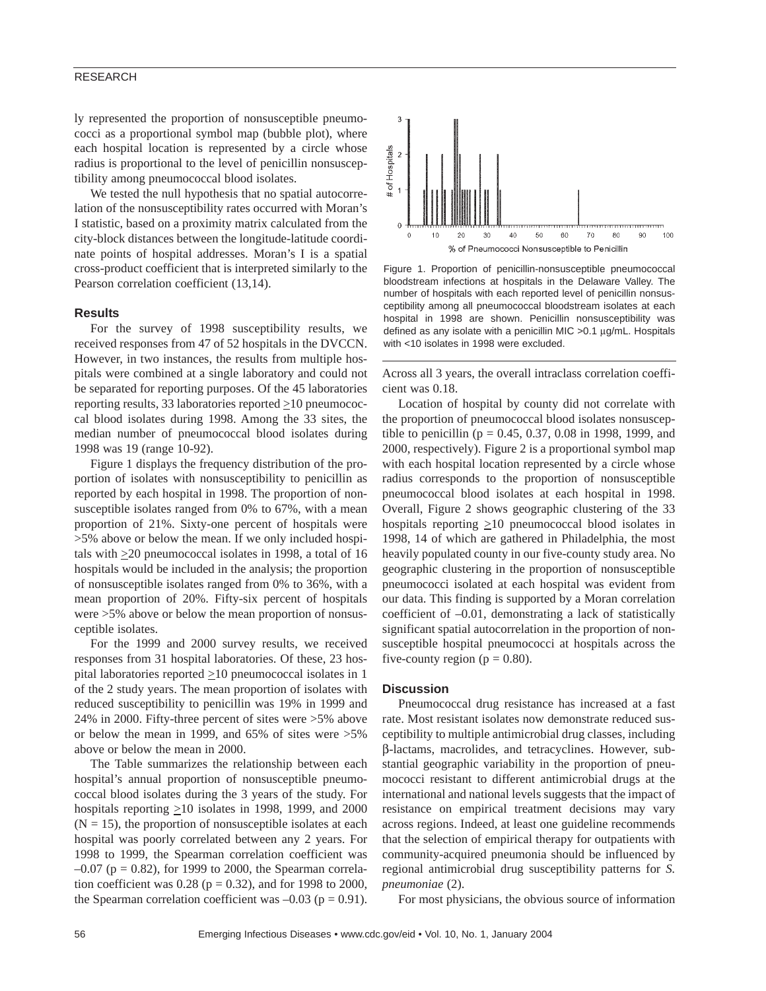#### RESEARCH

ly represented the proportion of nonsusceptible pneumococci as a proportional symbol map (bubble plot), where each hospital location is represented by a circle whose radius is proportional to the level of penicillin nonsusceptibility among pneumococcal blood isolates.

We tested the null hypothesis that no spatial autocorrelation of the nonsusceptibility rates occurred with Moran's I statistic, based on a proximity matrix calculated from the city-block distances between the longitude-latitude coordinate points of hospital addresses. Moran's I is a spatial cross-product coefficient that is interpreted similarly to the Pearson correlation coefficient (13,14).

#### **Results**

For the survey of 1998 susceptibility results, we received responses from 47 of 52 hospitals in the DVCCN. However, in two instances, the results from multiple hospitals were combined at a single laboratory and could not be separated for reporting purposes. Of the 45 laboratories reporting results, 33 laboratories reported  $\geq$ 10 pneumococcal blood isolates during 1998. Among the 33 sites, the median number of pneumococcal blood isolates during 1998 was 19 (range 10-92).

Figure 1 displays the frequency distribution of the proportion of isolates with nonsusceptibility to penicillin as reported by each hospital in 1998. The proportion of nonsusceptible isolates ranged from 0% to 67%, with a mean proportion of 21%. Sixty-one percent of hospitals were >5% above or below the mean. If we only included hospitals with  $\geq$ 20 pneumococcal isolates in 1998, a total of 16 hospitals would be included in the analysis; the proportion of nonsusceptible isolates ranged from 0% to 36%, with a mean proportion of 20%. Fifty-six percent of hospitals were >5% above or below the mean proportion of nonsusceptible isolates.

For the 1999 and 2000 survey results, we received responses from 31 hospital laboratories. Of these, 23 hospital laboratories reported  $\geq$ 10 pneumococcal isolates in 1 of the 2 study years. The mean proportion of isolates with reduced susceptibility to penicillin was 19% in 1999 and 24% in 2000. Fifty-three percent of sites were >5% above or below the mean in 1999, and 65% of sites were >5% above or below the mean in 2000.

The Table summarizes the relationship between each hospital's annual proportion of nonsusceptible pneumococcal blood isolates during the 3 years of the study. For hospitals reporting  $\geq 10$  isolates in 1998, 1999, and 2000  $(N = 15)$ , the proportion of nonsusceptible isolates at each hospital was poorly correlated between any 2 years. For 1998 to 1999, the Spearman correlation coefficient was  $-0.07$  (p = 0.82), for 1999 to 2000, the Spearman correlation coefficient was  $0.28$  (p = 0.32), and for 1998 to 2000, the Spearman correlation coefficient was  $-0.03$  ( $p = 0.91$ ).



Figure 1. Proportion of penicillin-nonsusceptible pneumococcal bloodstream infections at hospitals in the Delaware Valley. The number of hospitals with each reported level of penicillin nonsusceptibility among all pneumococcal bloodstream isolates at each hospital in 1998 are shown. Penicillin nonsusceptibility was defined as any isolate with a penicillin MIC >0.1 µg/mL. Hospitals with <10 isolates in 1998 were excluded.

Across all 3 years, the overall intraclass correlation coefficient was 0.18.

Location of hospital by county did not correlate with the proportion of pneumococcal blood isolates nonsusceptible to penicillin ( $p = 0.45, 0.37, 0.08$  in 1998, 1999, and 2000, respectively). Figure 2 is a proportional symbol map with each hospital location represented by a circle whose radius corresponds to the proportion of nonsusceptible pneumococcal blood isolates at each hospital in 1998. Overall, Figure 2 shows geographic clustering of the 33 hospitals reporting  $\geq 10$  pneumococcal blood isolates in 1998, 14 of which are gathered in Philadelphia, the most heavily populated county in our five-county study area. No geographic clustering in the proportion of nonsusceptible pneumococci isolated at each hospital was evident from our data. This finding is supported by a Moran correlation coefficient of –0.01, demonstrating a lack of statistically significant spatial autocorrelation in the proportion of nonsusceptible hospital pneumococci at hospitals across the five-county region ( $p = 0.80$ ).

#### **Discussion**

Pneumococcal drug resistance has increased at a fast rate. Most resistant isolates now demonstrate reduced susceptibility to multiple antimicrobial drug classes, including β-lactams, macrolides, and tetracyclines. However, substantial geographic variability in the proportion of pneumococci resistant to different antimicrobial drugs at the international and national levels suggests that the impact of resistance on empirical treatment decisions may vary across regions. Indeed, at least one guideline recommends that the selection of empirical therapy for outpatients with community-acquired pneumonia should be influenced by regional antimicrobial drug susceptibility patterns for *S. pneumoniae* (2).

For most physicians, the obvious source of information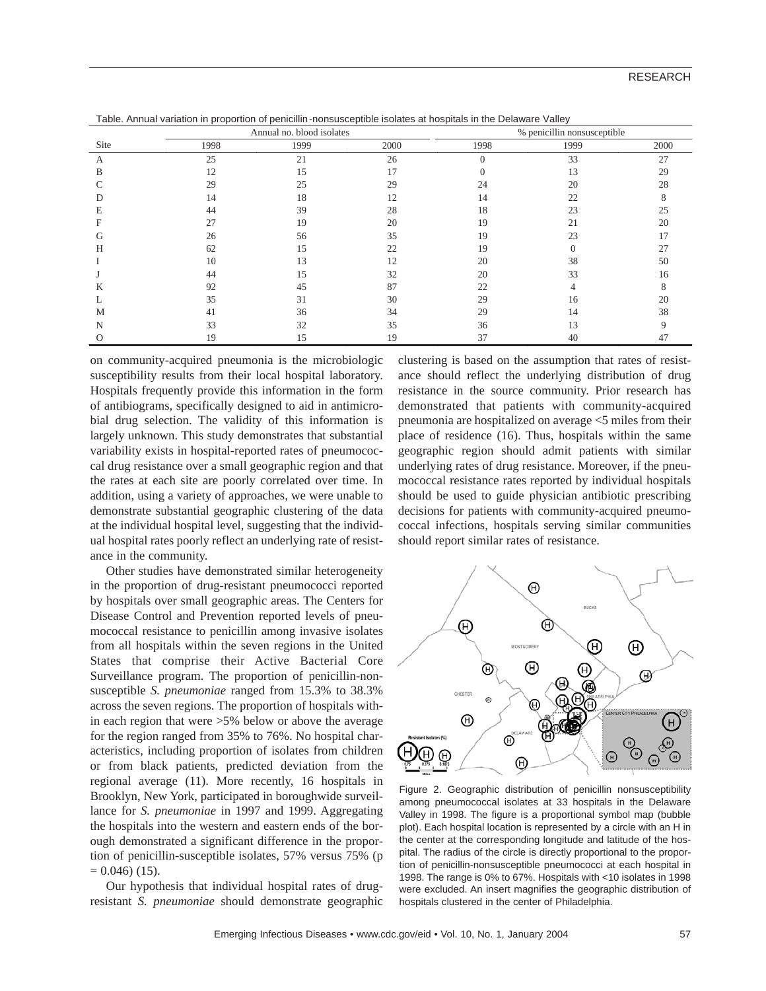| Site | Annual no. blood isolates |      |      | % penicillin nonsusceptible |          |      |
|------|---------------------------|------|------|-----------------------------|----------|------|
|      | 1998                      | 1999 | 2000 | 1998                        | 1999     | 2000 |
| A    | 25                        | 21   | 26   | $\Omega$                    | 33       | 27   |
| B    | 12                        | 15   | 17   |                             | 13       | 29   |
|      | 29                        | 25   | 29   | 24                          | 20       | 28   |
|      | 14                        | 18   | 12   | 14                          | 22       |      |
| Е    | 44                        | 39   | 28   | 18                          | 23       | 25   |
|      | 27                        | 19   | 20   | 19                          | 21       | 20   |
| tτ   | 26                        | 56   | 35   | 19                          | 23       |      |
| Н    | 62                        | 15   | 22   | 19                          | $\Omega$ | 27   |
|      | 10                        | 13   | 12   | 20                          | 38       | 50   |
|      | 44                        | 15   | 32   | 20                          | 33       | 16   |
| Κ    | 92                        | 45   | 87   | 22                          | 4        |      |
|      | 35                        | 31   | 30   | 29                          | 16       | 20   |
| М    | 41                        | 36   | 34   | 29                          | 14       | 38   |
| N    | 33                        | 32   | 35   | 36                          | 13       |      |
|      | 19                        | 15   | 19   | 37                          | 40       | 47   |

Table. Annual variation in proportion of penicillin-nonsusceptible isolates at hospitals in the Delaware Valley

on community-acquired pneumonia is the microbiologic susceptibility results from their local hospital laboratory. Hospitals frequently provide this information in the form of antibiograms, specifically designed to aid in antimicrobial drug selection. The validity of this information is largely unknown. This study demonstrates that substantial variability exists in hospital-reported rates of pneumococcal drug resistance over a small geographic region and that the rates at each site are poorly correlated over time. In addition, using a variety of approaches, we were unable to demonstrate substantial geographic clustering of the data at the individual hospital level, suggesting that the individual hospital rates poorly reflect an underlying rate of resistance in the community.

Other studies have demonstrated similar heterogeneity in the proportion of drug-resistant pneumococci reported by hospitals over small geographic areas. The Centers for Disease Control and Prevention reported levels of pneumococcal resistance to penicillin among invasive isolates from all hospitals within the seven regions in the United States that comprise their Active Bacterial Core Surveillance program. The proportion of penicillin-nonsusceptible *S. pneumoniae* ranged from 15.3% to 38.3% across the seven regions. The proportion of hospitals within each region that were >5% below or above the average for the region ranged from 35% to 76%. No hospital characteristics, including proportion of isolates from children or from black patients, predicted deviation from the regional average (11). More recently, 16 hospitals in Brooklyn, New York, participated in boroughwide surveillance for *S. pneumoniae* in 1997 and 1999. Aggregating the hospitals into the western and eastern ends of the borough demonstrated a significant difference in the proportion of penicillin-susceptible isolates, 57% versus 75% (p  $= 0.046$  (15).

Our hypothesis that individual hospital rates of drugresistant *S. pneumoniae* should demonstrate geographic clustering is based on the assumption that rates of resistance should reflect the underlying distribution of drug resistance in the source community. Prior research has demonstrated that patients with community-acquired pneumonia are hospitalized on average <5 miles from their place of residence (16). Thus, hospitals within the same geographic region should admit patients with similar underlying rates of drug resistance. Moreover, if the pneumococcal resistance rates reported by individual hospitals should be used to guide physician antibiotic prescribing decisions for patients with community-acquired pneumococcal infections, hospitals serving similar communities should report similar rates of resistance.



Figure 2. Geographic distribution of penicillin nonsusceptibility among pneumococcal isolates at 33 hospitals in the Delaware Valley in 1998. The figure is a proportional symbol map (bubble plot). Each hospital location is represented by a circle with an H in the center at the corresponding longitude and latitude of the hospital. The radius of the circle is directly proportional to the proportion of penicillin-nonsusceptible pneumococci at each hospital in 1998. The range is 0% to 67%. Hospitals with <10 isolates in 1998 were excluded. An insert magnifies the geographic distribution of hospitals clustered in the center of Philadelphia.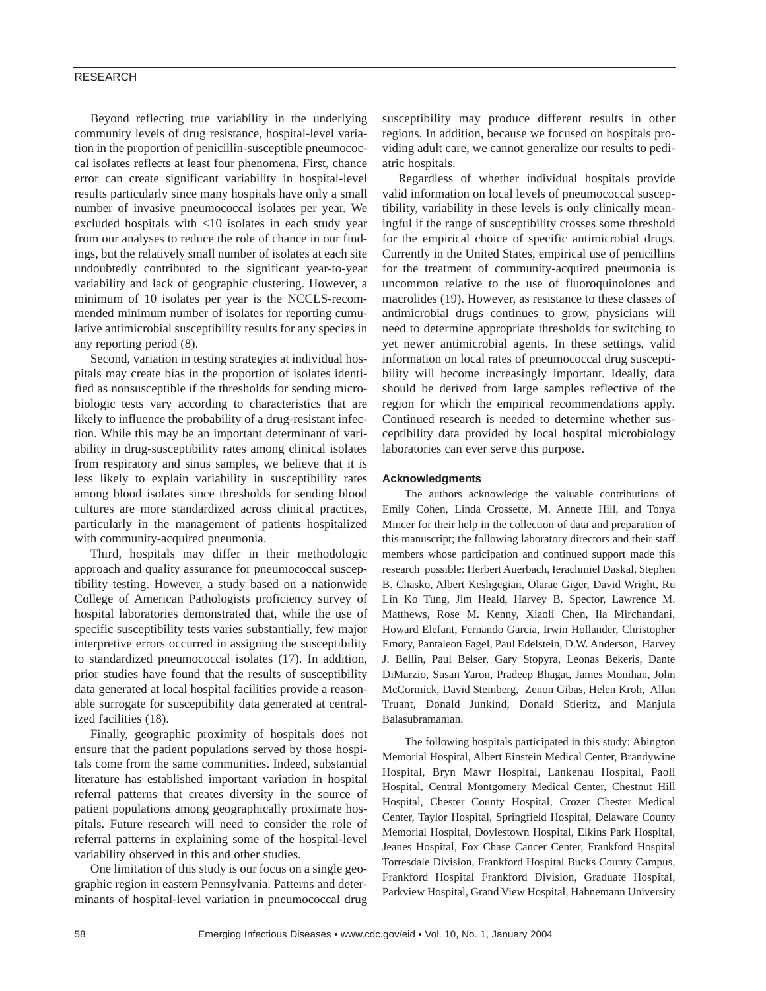## RESEARCH

Beyond reflecting true variability in the underlying community levels of drug resistance, hospital-level variation in the proportion of penicillin-susceptible pneumococcal isolates reflects at least four phenomena. First, chance error can create significant variability in hospital-level results particularly since many hospitals have only a small number of invasive pneumococcal isolates per year. We excluded hospitals with <10 isolates in each study year from our analyses to reduce the role of chance in our findings, but the relatively small number of isolates at each site undoubtedly contributed to the significant year-to-year variability and lack of geographic clustering. However, a minimum of 10 isolates per year is the NCCLS-recommended minimum number of isolates for reporting cumulative antimicrobial susceptibility results for any species in any reporting period (8).

Second, variation in testing strategies at individual hospitals may create bias in the proportion of isolates identified as nonsusceptible if the thresholds for sending microbiologic tests vary according to characteristics that are likely to influence the probability of a drug-resistant infection. While this may be an important determinant of variability in drug-susceptibility rates among clinical isolates from respiratory and sinus samples, we believe that it is less likely to explain variability in susceptibility rates among blood isolates since thresholds for sending blood cultures are more standardized across clinical practices, particularly in the management of patients hospitalized with community-acquired pneumonia.

Third, hospitals may differ in their methodologic approach and quality assurance for pneumococcal susceptibility testing. However, a study based on a nationwide College of American Pathologists proficiency survey of hospital laboratories demonstrated that, while the use of specific susceptibility tests varies substantially, few major interpretive errors occurred in assigning the susceptibility to standardized pneumococcal isolates (17). In addition, prior studies have found that the results of susceptibility data generated at local hospital facilities provide a reasonable surrogate for susceptibility data generated at centralized facilities (18).

Finally, geographic proximity of hospitals does not ensure that the patient populations served by those hospitals come from the same communities. Indeed, substantial literature has established important variation in hospital referral patterns that creates diversity in the source of patient populations among geographically proximate hospitals. Future research will need to consider the role of referral patterns in explaining some of the hospital-level variability observed in this and other studies.

One limitation of this study is our focus on a single geographic region in eastern Pennsylvania. Patterns and determinants of hospital-level variation in pneumococcal drug susceptibility may produce different results in other regions. In addition, because we focused on hospitals providing adult care, we cannot generalize our results to pediatric hospitals.

Regardless of whether individual hospitals provide valid information on local levels of pneumococcal susceptibility, variability in these levels is only clinically meaningful if the range of susceptibility crosses some threshold for the empirical choice of specific antimicrobial drugs. Currently in the United States, empirical use of penicillins for the treatment of community-acquired pneumonia is uncommon relative to the use of fluoroquinolones and macrolides (19). However, as resistance to these classes of antimicrobial drugs continues to grow, physicians will need to determine appropriate thresholds for switching to yet newer antimicrobial agents. In these settings, valid information on local rates of pneumococcal drug susceptibility will become increasingly important. Ideally, data should be derived from large samples reflective of the region for which the empirical recommendations apply*.* Continued research is needed to determine whether susceptibility data provided by local hospital microbiology laboratories can ever serve this purpose.

#### **Acknowledgments**

The authors acknowledge the valuable contributions of Emily Cohen, Linda Crossette, M. Annette Hill, and Tonya Mincer for their help in the collection of data and preparation of this manuscript; the following laboratory directors and their staff members whose participation and continued support made this research possible: Herbert Auerbach, Ierachmiel Daskal, Stephen B. Chasko, Albert Keshgegian, Olarae Giger, David Wright, Ru Lin Ko Tung, Jim Heald, Harvey B. Spector, Lawrence M. Matthews, Rose M. Kenny, Xiaoli Chen, Ila Mirchandani, Howard Elefant, Fernando Garcia, Irwin Hollander, Christopher Emory, Pantaleon Fagel, Paul Edelstein, D.W. Anderson, Harvey J. Bellin, Paul Belser, Gary Stopyra, Leonas Bekeris, Dante DiMarzio, Susan Yaron, Pradeep Bhagat, James Monihan, John McCormick, David Steinberg, Zenon Gibas, Helen Kroh, Allan Truant, Donald Junkind, Donald Stieritz, and Manjula Balasubramanian.

The following hospitals participated in this study: Abington Memorial Hospital, Albert Einstein Medical Center, Brandywine Hospital, Bryn Mawr Hospital, Lankenau Hospital, Paoli Hospital, Central Montgomery Medical Center, Chestnut Hill Hospital, Chester County Hospital, Crozer Chester Medical Center, Taylor Hospital, Springfield Hospital, Delaware County Memorial Hospital, Doylestown Hospital, Elkins Park Hospital, Jeanes Hospital, Fox Chase Cancer Center, Frankford Hospital Torresdale Division, Frankford Hospital Bucks County Campus, Frankford Hospital Frankford Division, Graduate Hospital, Parkview Hospital, Grand View Hospital, Hahnemann University